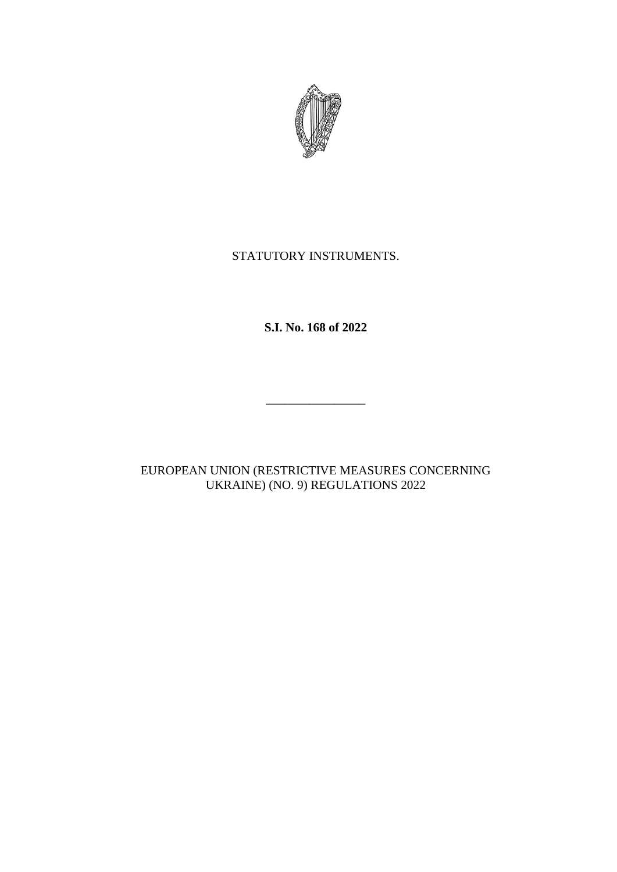

# STATUTORY INSTRUMENTS.

**S.I. No. 168 of 2022**

\_\_\_\_\_\_\_\_\_\_\_\_\_\_\_\_

EUROPEAN UNION (RESTRICTIVE MEASURES CONCERNING UKRAINE) (NO. 9) REGULATIONS 2022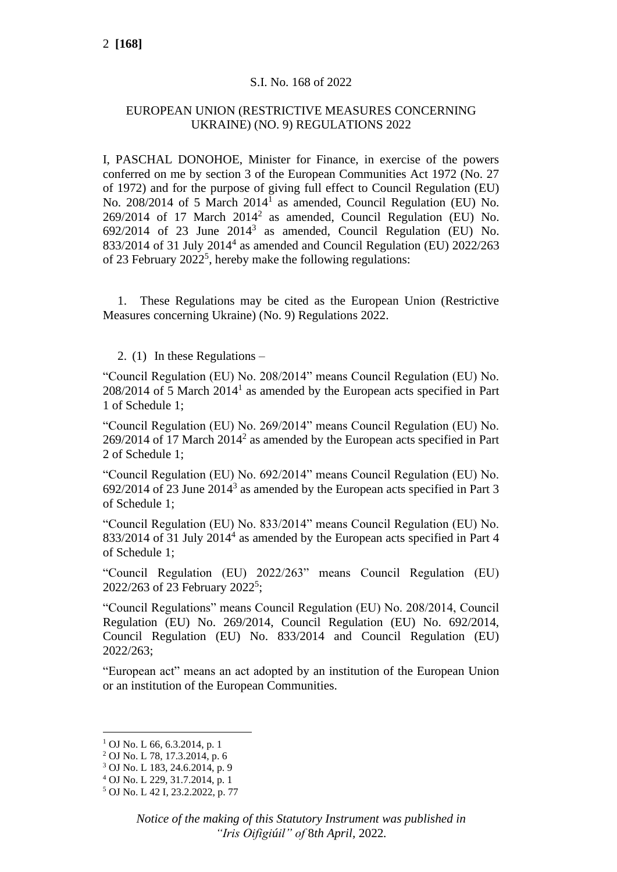## S.I. No. 168 of 2022

### EUROPEAN UNION (RESTRICTIVE MEASURES CONCERNING UKRAINE) (NO. 9) REGULATIONS 2022

I, PASCHAL DONOHOE, Minister for Finance, in exercise of the powers conferred on me by section 3 of the European Communities Act 1972 (No. 27 of 1972) and for the purpose of giving full effect to Council Regulation (EU) No. 208/2014 of 5 March 2014<sup>1</sup> as amended, Council Regulation (EU) No.  $269/2014$  of 17 March  $2014^2$  as amended, Council Regulation (EU) No.  $692/2014$  of 23 June  $2014<sup>3</sup>$  as amended, Council Regulation (EU) No. 833/2014 of 31 July 2014<sup>4</sup> as amended and Council Regulation (EU) 2022/263 of 23 February  $2022^5$ , hereby make the following regulations:

1. These Regulations may be cited as the European Union (Restrictive Measures concerning Ukraine) (No. 9) Regulations 2022.

2. (1) In these Regulations –

"Council Regulation (EU) No. 208/2014" means Council Regulation (EU) No.  $208/2014$  of 5 March  $2014<sup>1</sup>$  as amended by the European acts specified in Part 1 of Schedule 1;

"Council Regulation (EU) No. 269/2014" means Council Regulation (EU) No.  $269/2014$  of 17 March  $2014<sup>2</sup>$  as amended by the European acts specified in Part 2 of Schedule 1;

"Council Regulation (EU) No. 692/2014" means Council Regulation (EU) No.  $692/2014$  of 23 June  $2014<sup>3</sup>$  as amended by the European acts specified in Part 3 of Schedule 1;

"Council Regulation (EU) No. 833/2014" means Council Regulation (EU) No. 833/2014 of 31 July 2014<sup>4</sup> as amended by the European acts specified in Part 4 of Schedule 1;

"Council Regulation (EU) 2022/263" means Council Regulation (EU) 2022/263 of 23 February 2022<sup>5</sup>;

"Council Regulations" means Council Regulation (EU) No. 208/2014, Council Regulation (EU) No. 269/2014, Council Regulation (EU) No. 692/2014, Council Regulation (EU) No. 833/2014 and Council Regulation (EU) 2022/263;

"European act" means an act adopted by an institution of the European Union or an institution of the European Communities.

 $1$  OJ No. L 66, 6.3.2014, p. 1

<sup>2</sup> OJ No. L 78, 17.3.2014, p. 6

<sup>3</sup> OJ No. L 183, 24.6.2014, p. 9

<sup>4</sup> OJ No. L 229, 31.7.2014, p. 1

<sup>5</sup> OJ No. L 42 I, 23.2.2022, p. 77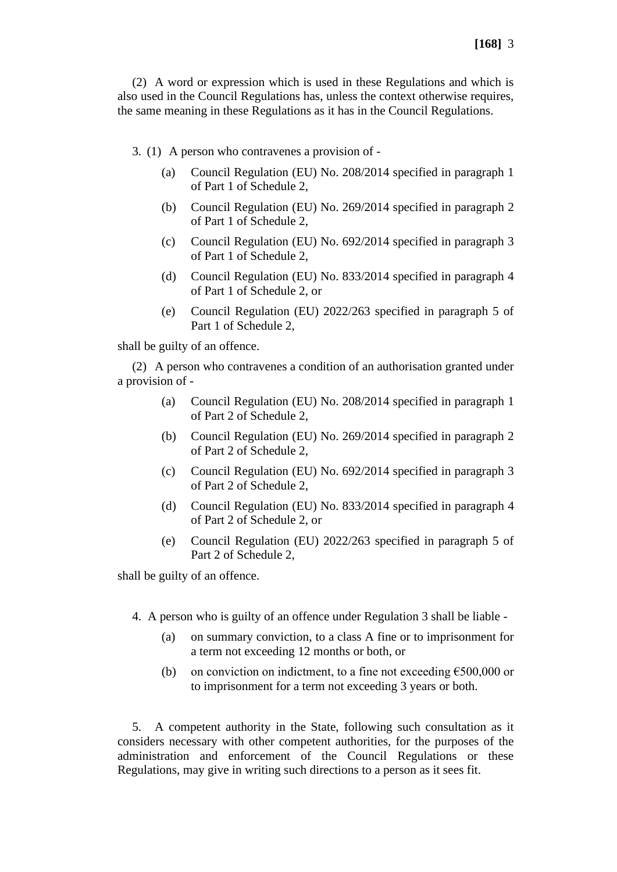(2) A word or expression which is used in these Regulations and which is also used in the Council Regulations has, unless the context otherwise requires, the same meaning in these Regulations as it has in the Council Regulations.

- 3. (1) A person who contravenes a provision of
	- (a) Council Regulation (EU) No. 208/2014 specified in paragraph 1 of Part 1 of Schedule 2,
	- (b) Council Regulation (EU) No. 269/2014 specified in paragraph 2 of Part 1 of Schedule 2,
	- (c) Council Regulation (EU) No. 692/2014 specified in paragraph 3 of Part 1 of Schedule 2,
	- (d) Council Regulation (EU) No. 833/2014 specified in paragraph 4 of Part 1 of Schedule 2, or
	- (e) Council Regulation (EU) 2022/263 specified in paragraph 5 of Part 1 of Schedule 2,

shall be guilty of an offence.

(2) A person who contravenes a condition of an authorisation granted under a provision of -

- (a) Council Regulation (EU) No. 208/2014 specified in paragraph 1 of Part 2 of Schedule 2,
- (b) Council Regulation (EU) No. 269/2014 specified in paragraph 2 of Part 2 of Schedule 2,
- (c) Council Regulation (EU) No. 692/2014 specified in paragraph 3 of Part 2 of Schedule 2,
- (d) Council Regulation (EU) No. 833/2014 specified in paragraph 4 of Part 2 of Schedule 2, or
- (e) Council Regulation (EU) 2022/263 specified in paragraph 5 of Part 2 of Schedule 2,

shall be guilty of an offence.

- 4. A person who is guilty of an offence under Regulation 3 shall be liable
	- (a) on summary conviction, to a class A fine or to imprisonment for a term not exceeding 12 months or both, or
	- (b) on conviction on indictment, to a fine not exceeding  $\epsilon$ 500,000 or to imprisonment for a term not exceeding 3 years or both.

5. A competent authority in the State, following such consultation as it considers necessary with other competent authorities, for the purposes of the administration and enforcement of the Council Regulations or these Regulations, may give in writing such directions to a person as it sees fit.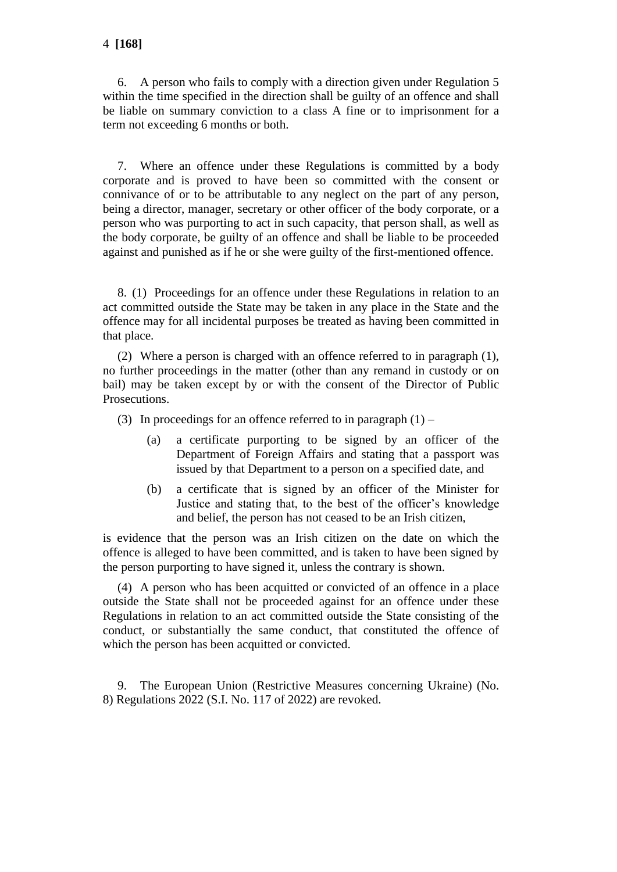6. A person who fails to comply with a direction given under Regulation 5 within the time specified in the direction shall be guilty of an offence and shall be liable on summary conviction to a class A fine or to imprisonment for a term not exceeding 6 months or both.

7. Where an offence under these Regulations is committed by a body corporate and is proved to have been so committed with the consent or connivance of or to be attributable to any neglect on the part of any person, being a director, manager, secretary or other officer of the body corporate, or a person who was purporting to act in such capacity, that person shall, as well as the body corporate, be guilty of an offence and shall be liable to be proceeded against and punished as if he or she were guilty of the first-mentioned offence.

8. (1) Proceedings for an offence under these Regulations in relation to an act committed outside the State may be taken in any place in the State and the offence may for all incidental purposes be treated as having been committed in that place.

(2) Where a person is charged with an offence referred to in paragraph (1), no further proceedings in the matter (other than any remand in custody or on bail) may be taken except by or with the consent of the Director of Public Prosecutions.

(3) In proceedings for an offence referred to in paragraph  $(1)$  –

- (a) a certificate purporting to be signed by an officer of the Department of Foreign Affairs and stating that a passport was issued by that Department to a person on a specified date, and
- (b) a certificate that is signed by an officer of the Minister for Justice and stating that, to the best of the officer's knowledge and belief, the person has not ceased to be an Irish citizen,

is evidence that the person was an Irish citizen on the date on which the offence is alleged to have been committed, and is taken to have been signed by the person purporting to have signed it, unless the contrary is shown.

(4) A person who has been acquitted or convicted of an offence in a place outside the State shall not be proceeded against for an offence under these Regulations in relation to an act committed outside the State consisting of the conduct, or substantially the same conduct, that constituted the offence of which the person has been acquitted or convicted.

9. The European Union (Restrictive Measures concerning Ukraine) (No. 8) Regulations 2022 (S.I. No. 117 of 2022) are revoked.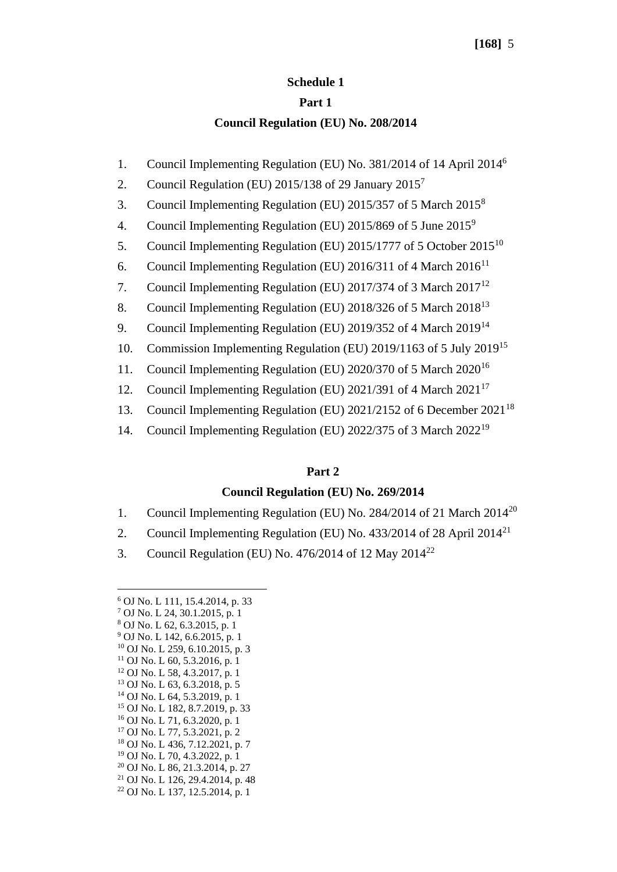### **Schedule 1**

#### **Part 1**

### **Council Regulation (EU) No. 208/2014**

- 1. Council Implementing Regulation (EU) No. 381/2014 of 14 April 2014<sup>6</sup>
- 2. Council Regulation (EU)  $2015/138$  of 29 January  $2015<sup>7</sup>$
- 3. Council Implementing Regulation (EU) 2015/357 of 5 March 2015<sup>8</sup>
- 4. Council Implementing Regulation (EU)  $2015/869$  of 5 June  $2015^9$
- 5. Council Implementing Regulation (EU) 2015/1777 of 5 October 2015<sup>10</sup>
- 6. Council Implementing Regulation (EU) 2016/311 of 4 March  $2016^{11}$
- 7. Council Implementing Regulation (EU) 2017/374 of 3 March  $2017^{12}$
- 8. Council Implementing Regulation (EU) 2018/326 of 5 March 2018<sup>13</sup>
- 9. Council Implementing Regulation (EU) 2019/352 of 4 March 2019<sup>14</sup>
- 10. Commission Implementing Regulation (EU) 2019/1163 of 5 July 2019<sup>15</sup>
- 11. Council Implementing Regulation (EU) 2020/370 of 5 March 2020<sup>16</sup>
- 12. Council Implementing Regulation (EU) 2021/391 of 4 March 2021<sup>17</sup>
- 13. Council Implementing Regulation (EU) 2021/2152 of 6 December 2021<sup>18</sup>
- 14. Council Implementing Regulation (EU) 2022/375 of 3 March 2022<sup>19</sup>

### **Part 2**

### **Council Regulation (EU) No. 269/2014**

- 1. Council Implementing Regulation (EU) No. 284/2014 of 21 March 2014<sup>20</sup>
- 2. Council Implementing Regulation (EU) No. 433/2014 of 28 April 2014<sup>21</sup>
- 3. Council Regulation (EU) No. 476/2014 of 12 May  $2014^{22}$

- <sup>17</sup> OJ No. L 77, 5.3.2021, p. 2
- <sup>18</sup> OJ No. L 436, 7.12.2021, p. 7
- <sup>19</sup> OJ No. L 70, 4.3.2022, p. 1
- <sup>20</sup> OJ No. L 86, 21.3.2014, p. 27 <sup>21</sup> OJ No. L 126, 29, 4, 2014, p. 48
- 
- <sup>22</sup> OJ No. L 137, 12.5.2014, p. 1

<sup>6</sup> OJ No. L 111, 15.4.2014, p. 33

<sup>7</sup> OJ No. L 24, 30.1.2015, p. 1

<sup>8</sup> OJ No. L 62, 6.3.2015, p. 1

<sup>9</sup> OJ No. L 142, 6.6.2015, p. 1 <sup>10</sup> OJ No. L 259, 6.10.2015, p. 3

<sup>11</sup> OJ No. L 60, 5.3.2016, p. 1

<sup>12</sup> OJ No. L 58, 4.3.2017, p. 1

<sup>13</sup> OJ No. L 63, 6.3.2018, p. 5

<sup>14</sup> OJ No. L 64, 5.3.2019, p. 1

<sup>15</sup> OJ No. L 182, 8.7.2019, p. 33

<sup>16</sup> OJ No. L 71, 6.3.2020, p. 1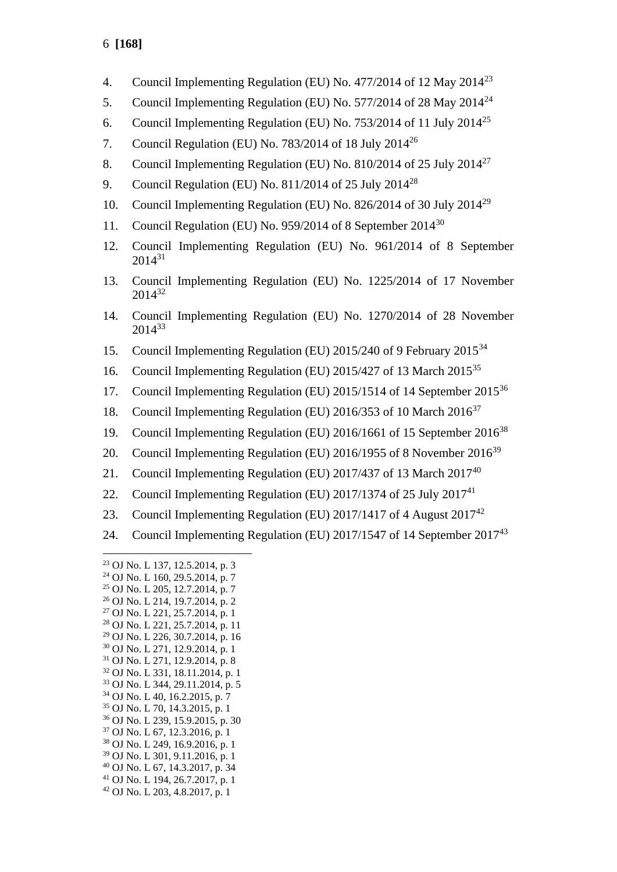- 4. Council Implementing Regulation (EU) No. 477/2014 of 12 May 2014<sup>23</sup>
- 5. Council Implementing Regulation (EU) No. 577/2014 of 28 May 2014<sup>24</sup>
- 6. Council Implementing Regulation (EU) No.  $753/2014$  of 11 July  $2014^{25}$
- 7. Council Regulation (EU) No. 783/2014 of 18 July 2014<sup>26</sup>
- 8. Council Implementing Regulation (EU) No. 810/2014 of 25 July 2014<sup>27</sup>
- 9. Council Regulation (EU) No. 811/2014 of 25 July 2014<sup>28</sup>
- 10. Council Implementing Regulation (EU) No. 826/2014 of 30 July 2014<sup>29</sup>
- 11. Council Regulation (EU) No. 959/2014 of 8 September 2014<sup>30</sup>
- 12. Council Implementing Regulation (EU) No. 961/2014 of 8 September 2014<sup>31</sup>
- 13. Council Implementing Regulation (EU) No. 1225/2014 of 17 November 2014<sup>32</sup>
- 14. Council Implementing Regulation (EU) No. 1270/2014 of 28 November 2014<sup>33</sup>
- 15. Council Implementing Regulation (EU) 2015/240 of 9 February 2015<sup>34</sup>
- 16. Council Implementing Regulation (EU) 2015/427 of 13 March 2015<sup>35</sup>
- 17. Council Implementing Regulation (EU) 2015/1514 of 14 September 2015<sup>36</sup>
- 18. Council Implementing Regulation (EU) 2016/353 of 10 March 2016<sup>37</sup>
- 19. Council Implementing Regulation (EU) 2016/1661 of 15 September 2016<sup>38</sup>
- 20. Council Implementing Regulation (EU) 2016/1955 of 8 November 2016<sup>39</sup>
- 21. Council Implementing Regulation (EU) 2017/437 of 13 March  $2017^{40}$
- 22. Council Implementing Regulation (EU)  $2017/1374$  of 25 July  $2017^{41}$
- 23. Council Implementing Regulation (EU) 2017/1417 of 4 August  $2017^{42}$
- 24. Council Implementing Regulation (EU) 2017/1547 of 14 September 2017<sup>43</sup>

<sup>29</sup> OJ No. L 226, 30.7.2014, p. 16

- <sup>33</sup> OJ No. L 344, 29.11.2014, p. 5 <sup>34</sup> OJ No. L 40, 16.2.2015, p. 7
- <sup>35</sup> OJ No. L 70, 14.3.2015, p. 1
- <sup>36</sup> OJ No. L 239, 15.9.2015, p. 30
- <sup>37</sup> OJ No. L 67, 12.3.2016, p. 1
- <sup>38</sup> OJ No. L 249, 16.9.2016, p. 1
- <sup>39</sup> OJ No. L 301, 9.11.2016, p. 1
- <sup>40</sup> OJ No. L 67, 14.3.2017, p. 34
- <sup>41</sup> OJ No. L 194, 26.7.2017, p. 1
- <sup>42</sup> OJ No. L 203, 4.8.2017, p. 1

<sup>23</sup> OJ No. L 137, 12.5.2014, p. 3

<sup>24</sup> OJ No. L 160, 29.5.2014, p. 7

<sup>25</sup> OJ No. L 205, 12.7.2014, p. 7 <sup>26</sup> OJ No. L 214, 19.7.2014, p. 2

<sup>27</sup> OJ No. L 221, 25.7.2014, p. 1

<sup>28</sup> OJ No. L 221, 25.7.2014, p. 11

<sup>30</sup> OJ No. L 271, 12.9.2014, p. 1

<sup>31</sup> OJ No. L 271, 12.9.2014, p. 8

<sup>32</sup> OJ No. L 331, 18.11.2014, p. 1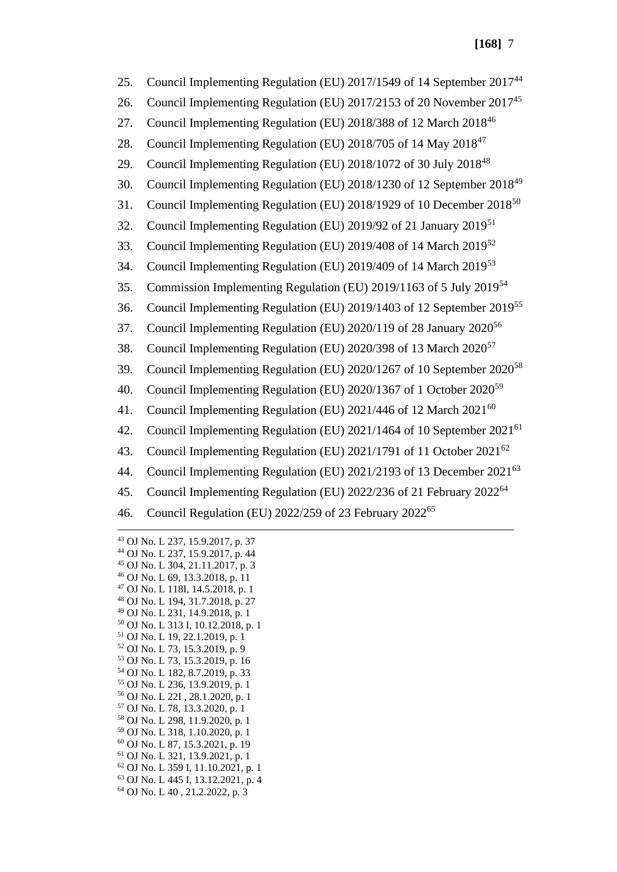25. Council Implementing Regulation (EU) 2017/1549 of 14 September 2017<sup>44</sup> 26. Council Implementing Regulation (EU) 2017/2153 of 20 November 2017<sup>45</sup> 27. Council Implementing Regulation (EU) 2018/388 of 12 March 2018<sup>46</sup> 28. Council Implementing Regulation (EU) 2018/705 of 14 May 2018<sup>47</sup> 29. Council Implementing Regulation (EU) 2018/1072 of 30 July 2018<sup>48</sup> 30. Council Implementing Regulation (EU) 2018/1230 of 12 September 2018<sup>49</sup> 31. Council Implementing Regulation (EU) 2018/1929 of 10 December 2018<sup>50</sup> 32. Council Implementing Regulation (EU) 2019/92 of 21 January 2019<sup>51</sup> 33. Council Implementing Regulation (EU) 2019/408 of 14 March 2019<sup>52</sup> 34. Council Implementing Regulation (EU) 2019/409 of 14 March 2019<sup>53</sup> 35. Commission Implementing Regulation (EU) 2019/1163 of 5 July 2019<sup>54</sup> 36. Council Implementing Regulation (EU) 2019/1403 of 12 September 2019<sup>55</sup> 37. Council Implementing Regulation (EU)  $2020/119$  of 28 January  $2020^{56}$ 38. Council Implementing Regulation (EU) 2020/398 of 13 March 2020<sup>57</sup> 39. Council Implementing Regulation (EU) 2020/1267 of 10 September 2020<sup>58</sup> 40. Council Implementing Regulation (EU) 2020/1367 of 1 October 2020<sup>59</sup> 41. Council Implementing Regulation (EU)  $2021/446$  of 12 March  $2021^{60}$ 42. Council Implementing Regulation (EU) 2021/1464 of 10 September 2021<sup>61</sup> 43. Council Implementing Regulation (EU) 2021/1791 of 11 October 2021<sup>62</sup> 44. Council Implementing Regulation (EU) 2021/2193 of 13 December 2021<sup>63</sup> 45. Council Implementing Regulation (EU) 2022/236 of 21 February 2022<sup>64</sup> 46. Council Regulation (EU) 2022/259 of 23 February 2022<sup>65</sup>

 OJ No. L 237, 15.9.2017, p. 37 OJ No. L 237, 15.9.2017, p. 44 OJ No. L 304, 21.11.2017, p. 3 OJ No. L 69, 13.3.2018, p. 11 OJ No. L 118I, 14.5.2018, p. 1 OJ No. L 194, 31.7.2018, p. 27 OJ No. L 231, 14.9.2018, p. 1 OJ No. L 313 I, 10.12.2018, p. 1 OJ No. L 19, 22.1.2019, p. 1 OJ No. L 73, 15.3.2019, p. 9 OJ No. L 73, 15.3.2019, p. 16 OJ No. L 182, 8.7.2019, p. 33 OJ No. L 236, 13.9.2019, p. 1 OJ No. L 22I , 28.1.2020, p. 1 OJ No. L 78, 13.3.2020, p. 1 OJ No. L 298, 11.9.2020, p. 1 OJ No. L 318, 1.10.2020, p. 1 OJ No. L 87, 15.3.2021, p. 19 OJ No. L 321, 13.9.2021, p. 1 OJ No. L 359 I, 11.10.2021, p. 1 OJ No. L 445 I, 13.12.2021, p. 4 OJ No. L 40 , 21.2.2022, p. 3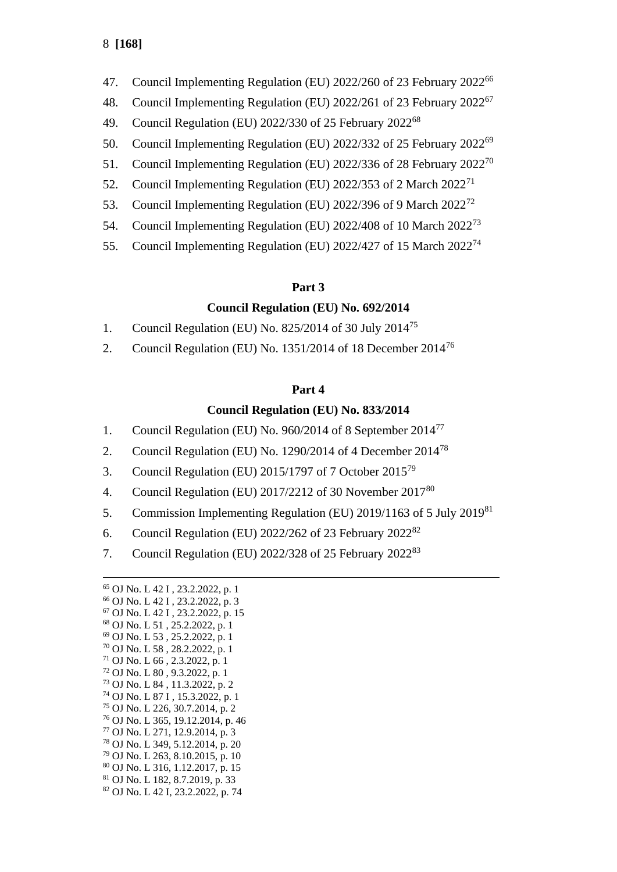- 47. Council Implementing Regulation (EU) 2022/260 of 23 February 2022<sup>66</sup>
- 48. Council Implementing Regulation (EU) 2022/261 of 23 February 2022<sup>67</sup>
- 49. Council Regulation (EU) 2022/330 of 25 February 2022<sup>68</sup>
- 50. Council Implementing Regulation (EU) 2022/332 of 25 February 2022<sup>69</sup>
- 51. Council Implementing Regulation (EU) 2022/336 of 28 February 2022<sup>70</sup>
- 52. Council Implementing Regulation (EU) 2022/353 of 2 March 2022<sup>71</sup>
- 53. Council Implementing Regulation (EU) 2022/396 of 9 March 2022<sup>72</sup>
- 54. Council Implementing Regulation (EU) 2022/408 of 10 March 2022<sup>73</sup>
- 55. Council Implementing Regulation (EU) 2022/427 of 15 March 2022<sup>74</sup>

## **Part 3**

# **Council Regulation (EU) No. 692/2014**

- 1. Council Regulation (EU) No. 825/2014 of 30 July 2014<sup>75</sup>
- 2. Council Regulation (EU) No.  $1351/2014$  of 18 December  $2014^{76}$

# **Part 4**

# **Council Regulation (EU) No. 833/2014**

- 1. Council Regulation (EU) No. 960/2014 of 8 September 2014<sup>77</sup>
- 2. Council Regulation (EU) No. 1290/2014 of 4 December 2014<sup>78</sup>
- 3. Council Regulation (EU) 2015/1797 of 7 October 2015<sup>79</sup>
- 4. Council Regulation (EU)  $2017/2212$  of 30 November  $2017^{80}$
- 5. Commission Implementing Regulation (EU) 2019/1163 of 5 July 2019<sup>81</sup>
- 6. Council Regulation (EU) 2022/262 of 23 February 2022<sup>82</sup>
- 7. Council Regulation (EU) 2022/328 of 25 February 2022<sup>83</sup>

 OJ No. L 42 I , 23.2.2022, p. 1 OJ No. L 42 I , 23.2.2022, p. 3 OJ No. L 42 I , 23.2.2022, p. 15 OJ No. L 51 , 25.2.2022, p. 1 OJ No. L 53 , 25.2.2022, p. 1 OJ No. L 58 , 28.2.2022, p. 1 OJ No. L 66 , 2.3.2022, p. 1 OJ No. L 80 , 9.3.2022, p. 1 OJ No. L 84 , 11.3.2022, p. 2 OJ No. L 87 I , 15.3.2022, p. 1 OJ No. L 226, 30.7.2014, p. 2 OJ No. L 365, 19.12.2014, p. 46 OJ No. L 271, 12.9.2014, p. 3 OJ No. L 349, 5.12.2014, p. 20 OJ No. L 263, 8.10.2015, p. 10 OJ No. L 316, 1.12.2017, p. 15 OJ No. L 182, 8.7.2019, p. 33 OJ No. L 42 I, 23.2.2022, p. 74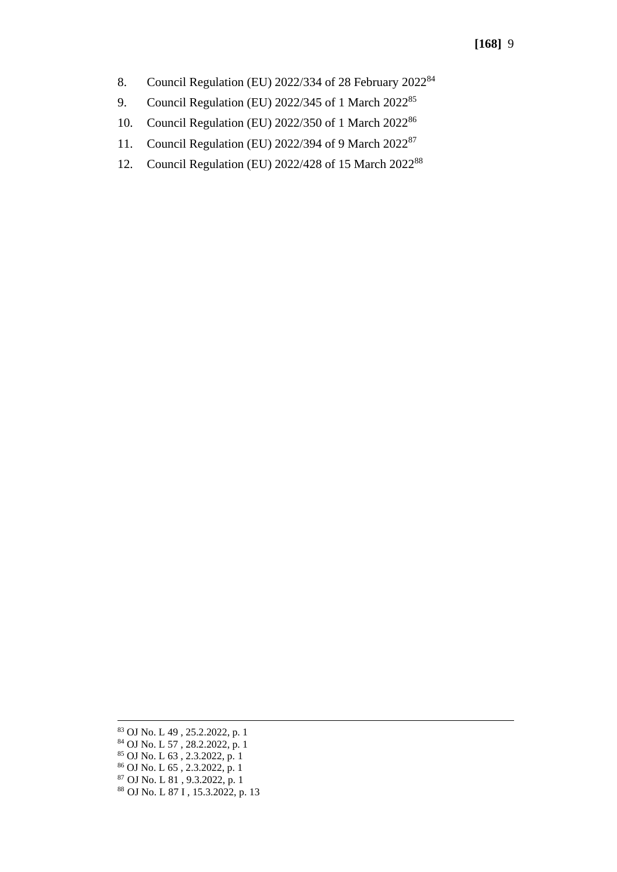- 8. Council Regulation (EU) 2022/334 of 28 February 2022<sup>84</sup>
- 9. Council Regulation (EU) 2022/345 of 1 March 2022<sup>85</sup>
- 10. Council Regulation (EU) 2022/350 of 1 March 2022<sup>86</sup>
- 11. Council Regulation (EU) 2022/394 of 9 March 2022<sup>87</sup>
- 12. Council Regulation (EU) 2022/428 of 15 March 2022<sup>88</sup>

<sup>83</sup> OJ No. L 49 , 25.2.2022, p. 1 <sup>84</sup> OJ No. L 57 , 28.2.2022, p. 1 <sup>85</sup> OJ No. L 63 , 2.3.2022, p. 1 <sup>86</sup> OJ No. L 65 , 2.3.2022, p. 1 <sup>87</sup> OJ No. L 81 , 9.3.2022, p. 1 <sup>88</sup> OJ No. L 87 I , 15.3.2022, p. 13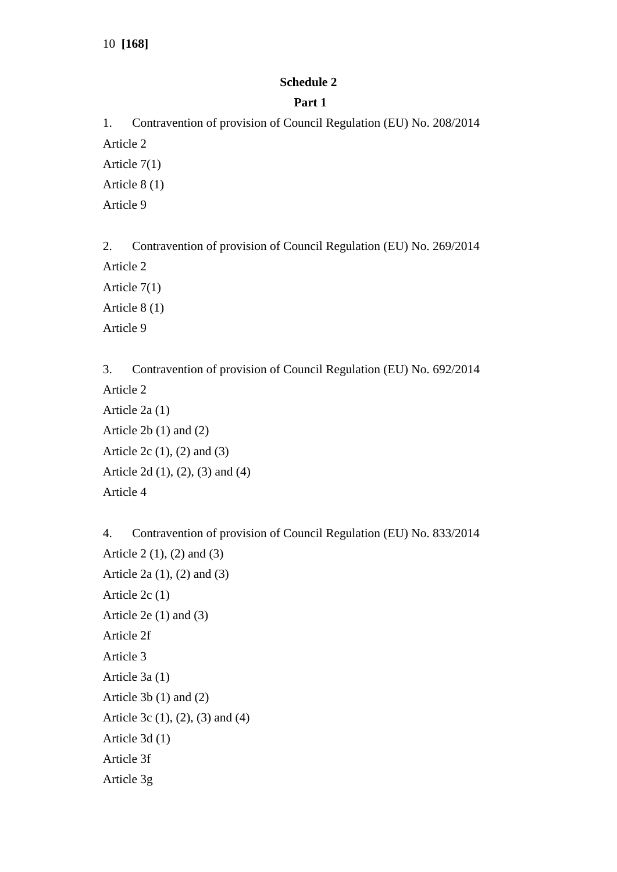10 **[168]**

## **Schedule 2**

### **Part 1**

1. Contravention of provision of Council Regulation (EU) No. 208/2014 Article 2 Article 7(1) Article 8 (1) Article 9

2. Contravention of provision of Council Regulation (EU) No. 269/2014 Article 2 Article 7(1) Article 8 (1) Article 9

3. Contravention of provision of Council Regulation (EU) No. 692/2014 Article 2 Article 2a (1) Article 2b (1) and (2) Article 2c (1), (2) and (3) Article 2d (1), (2), (3) and (4) Article 4

4. Contravention of provision of Council Regulation (EU) No. 833/2014 Article 2 (1), (2) and (3) Article 2a (1), (2) and (3) Article 2c (1) Article 2e (1) and (3) Article 2f Article 3 Article 3a (1) Article 3b (1) and (2) Article 3c (1), (2), (3) and (4) Article 3d (1) Article 3f Article 3g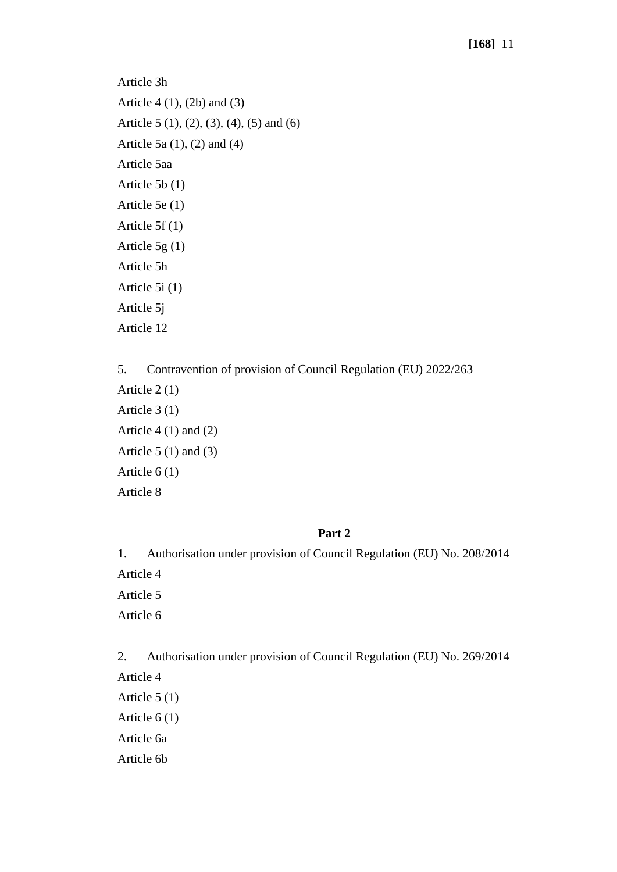Article 3h Article 4 (1), (2b) and (3) Article 5 (1), (2), (3), (4), (5) and (6) Article 5a (1), (2) and (4) Article 5aa Article 5b (1) Article 5e (1) Article 5f (1) Article 5g (1) Article 5h Article 5i (1) Article 5j Article 12

5. Contravention of provision of Council Regulation (EU) 2022/263 Article 2 (1) Article 3 (1) Article 4 (1) and (2) Article  $5(1)$  and  $(3)$ Article 6 (1) Article 8

## **Part 2**

1. Authorisation under provision of Council Regulation (EU) No. 208/2014 Article 4 Article 5 Article 6

2. Authorisation under provision of Council Regulation (EU) No. 269/2014 Article 4 Article 5 (1) Article 6 (1) Article 6a Article 6b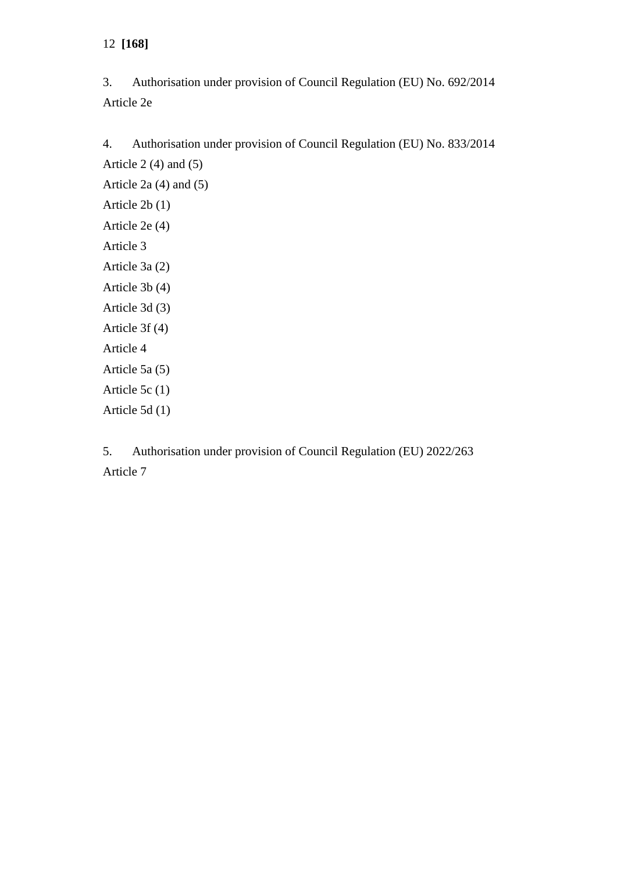12 **[168]**

3. Authorisation under provision of Council Regulation (EU) No. 692/2014 Article 2e

4. Authorisation under provision of Council Regulation (EU) No. 833/2014 Article  $2(4)$  and  $(5)$ Article 2a (4) and (5) Article 2b (1) Article 2e (4) Article 3 Article 3a (2) Article 3b (4) Article 3d (3) Article 3f (4) Article 4 Article 5a (5) Article 5c (1) Article 5d (1)

5. Authorisation under provision of Council Regulation (EU) 2022/263 Article 7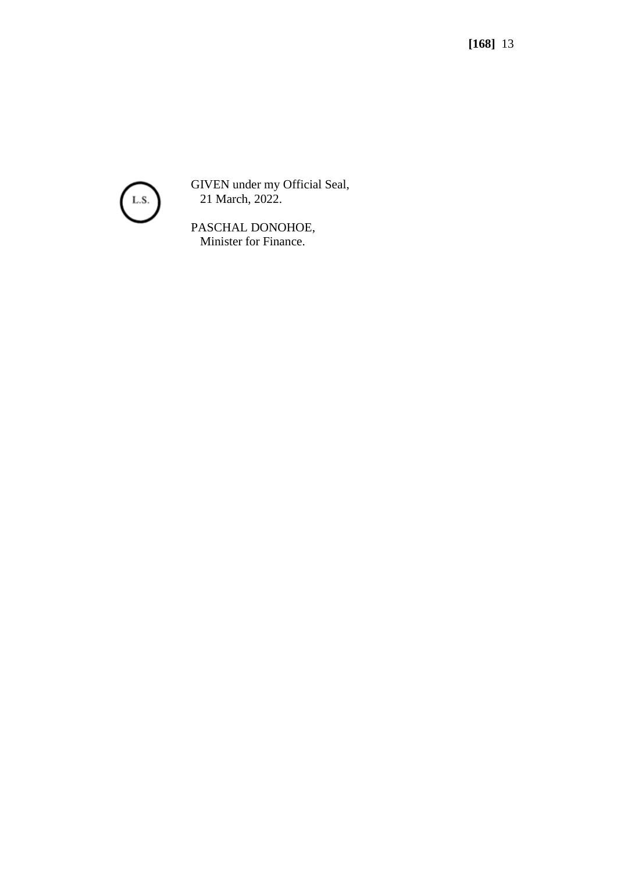

GIVEN under my Official Seal, 21 March, 2022.

PASCHAL DONOHOE, Minister for Finance.